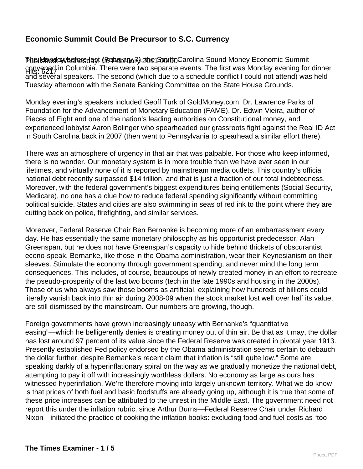Phell**shedawedfresday, (Feberana7), zoe South** Carolina Sound Money Economic Summit Hits: 6217 convened in Columbia. There were two separate events. The first was Monday evening for dinner and several speakers. The second (which due to a schedule conflict I could not attend) was held Tuesday afternoon with the Senate Banking Committee on the State House Grounds.

Monday evening's speakers included Geoff Turk of GoldMoney.com, Dr. Lawrence Parks of Foundation for the Advancement of Monetary Education (FAME), Dr. Edwin Vieira, author of Pieces of Eight and one of the nation's leading authorities on Constitutional money, and experienced lobbyist Aaron Bolinger who spearheaded our grassroots fight against the Real ID Act in South Carolina back in 2007 (then went to Pennsylvania to spearhead a similar effort there).

There was an atmosphere of urgency in that air that was palpable. For those who keep informed, there is no wonder. Our monetary system is in more trouble than we have ever seen in our lifetimes, and virtually none of it is reported by mainstream media outlets. This country's official national debt recently surpassed \$14 trillion, and that is just a fraction of our total indebtedness. Moreover, with the federal government's biggest expenditures being entitlements (Social Security, Medicare), no one has a clue how to reduce federal spending significantly without committing political suicide. States and cities are also swimming in seas of red ink to the point where they are cutting back on police, firefighting, and similar services.

Moreover, Federal Reserve Chair Ben Bernanke is becoming more of an embarrassment every day. He has essentially the same monetary philosophy as his opportunist predecessor, Alan Greenspan, but he does not have Greenspan's capacity to hide behind thickets of obscurantist econo-speak. Bernanke, like those in the Obama administration, wear their Keynesianism on their sleeves. Stimulate the economy through government spending, and never mind the long term consequences. This includes, of course, beaucoups of newly created money in an effort to recreate the pseudo-prosperity of the last two booms (tech in the late 1990s and housing in the 2000s). Those of us who always saw those booms as artificial, explaining how hundreds of billions could literally vanish back into thin air during 2008-09 when the stock market lost well over half its value, are still dismissed by the mainstream. Our numbers are growing, though.

Foreign governments have grown increasingly uneasy with Bernanke's "quantitative easing"—which he belligerently denies is creating money out of thin air. Be that as it may, the dollar has lost around 97 percent of its value since the Federal Reserve was created in pivotal year 1913. Presently established Fed policy endorsed by the Obama administration seems certain to debauch the dollar further, despite Bernanke's recent claim that inflation is "still quite low." Some are speaking darkly of a hyperinflationary spiral on the way as we gradually monetize the national debt, attempting to pay it off with increasingly worthless dollars. No economy as large as ours has witnessed hyperinflation. We're therefore moving into largely unknown territory. What we do know is that prices of both fuel and basic foodstuffs are already going up, although it is true that some of these price increases can be attributed to the unrest in the Middle East. The government need not report this under the inflation rubric, since Arthur Burns—Federal Reserve Chair under Richard Nixon—initiated the practice of cooking the inflation books: excluding food and fuel costs as "too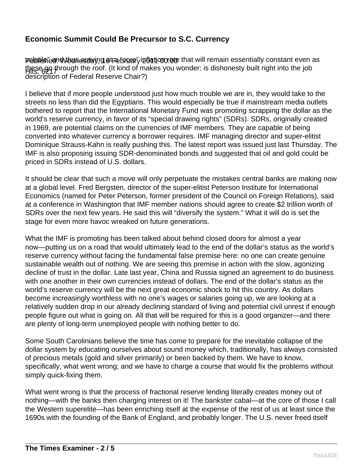Publishe and thus a divided a thus in the beat and the main essentially constant even as these go through the roof. (It kind of makes you wonder: is dishonesty built right into the job<br>Hits: 62, 1 description of Federal Reserve Chair?)

I believe that if more people understood just how much trouble we are in, they would take to the streets no less than did the Egyptians. This would especially be true if mainstream media outlets bothered to report that the International Monetary Fund was promoting scrapping the dollar as the world's reserve currency, in favor of its "special drawing rights" (SDRs). SDRs, originally created in 1969, are potential claims on the currencies of IMF members. They are capable of being converted into whatever currency a borrower requires. IMF managing director and super-elitist Dominique Strauss-Kahn is really pushing this. The latest report was issued just last Thursday. The IMF is also proposing issuing SDR-denominated bonds and suggested that oil and gold could be priced in SDRs instead of U.S. dollars.

It should be clear that such a move will only perpetuate the mistakes central banks are making now at a global level. Fred Bergsten, director of the super-elitist Peterson Institute for International Economics (named for Peter Peterson, former president of the Council on Foreign Relations), said at a conference in Washington that IMF member nations should agree to create \$2 trillion worth of SDRs over the next few years. He said this will "diversify the system." What it will do is set the stage for even more havoc wreaked on future generations.

What the IMF is promoting has been talked about behind closed doors for almost a year now—putting us on a road that would ultimately lead to the end of the dollar's status as the world's reserve currency without facing the fundamental false premise here: no one can create genuine sustainable wealth out of nothing. We are seeing this premise in action with the slow, agonizing decline of trust in the dollar. Late last year, China and Russia signed an agreement to do business with one another in their own currencies instead of dollars. The end of the dollar's status as the world's reserve currency will be the next great economic shock to hit this country. As dollars become increasingly worthless with no one's wages or salaries going up, we are looking at a relatively sudden drop in our already declining standard of living and potential civil unrest if enough people figure out what is going on. All that will be required for this is a good organizer—and there are plenty of long-term unemployed people with nothing better to do.

Some South Carolinians believe the time has come to prepare for the inevitable collapse of the dollar system by educating ourselves about sound money which, traditionally, has always consisted of precious metals (gold and silver primarily) or been backed by them. We have to know, specifically, what went wrong; and we have to charge a course that would fix the problems without simply quick-fixing them.

What went wrong is that the process of fractional reserve lending literally creates money out of nothing—with the banks then charging interest on it! The bankster cabal—at the core of those I call the Western superelite—has been enriching itself at the expense of the rest of us at least since the 1690s with the founding of the Bank of England, and probably longer. The U.S. never freed itself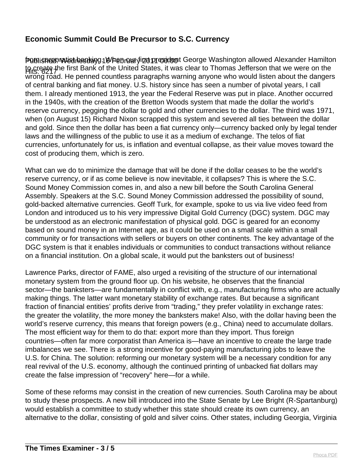Publisheep witst hestlayg 18 February izt president George Washington allowed Alexander Hamilton to create the first Bank of the United States, it was clear to Thomas Jefferson that we were on the<br>Hits: 6217 wrong road. He penned countless paragraphs warning anyone who would listen about the dangers of central banking and fiat money. U.S. history since has seen a number of pivotal years, I call them. I already mentioned 1913, the year the Federal Reserve was put in place. Another occurred in the 1940s, with the creation of the Bretton Woods system that made the dollar the world's reserve currency, pegging the dollar to gold and other currencies to the dollar. The third was 1971, when (on August 15) Richard Nixon scrapped this system and severed all ties between the dollar and gold. Since then the dollar has been a fiat currency only—currency backed only by legal tender laws and the willingness of the public to use it as a medium of exchange. The telos of fiat currencies, unfortunately for us, is inflation and eventual collapse, as their value moves toward the cost of producing them, which is zero.

What can we do to minimize the damage that will be done if the dollar ceases to be the world's reserve currency, or if as come believe is now inevitable, it collapses? This is where the S.C. Sound Money Commission comes in, and also a new bill before the South Carolina General Assembly. Speakers at the S.C. Sound Money Commission addressed the possibility of sound, gold-backed alternative currencies. Geoff Turk, for example, spoke to us via live video feed from London and introduced us to his very impressive Digital Gold Currency (DGC) system. DGC may be understood as an electronic manifestation of physical gold. DGC is geared for an economy based on sound money in an Internet age, as it could be used on a small scale within a small community or for transactions with sellers or buyers on other continents. The key advantage of the DGC system is that it enables individuals or communities to conduct transactions without reliance on a financial institution. On a global scale, it would put the banksters out of business!

Lawrence Parks, director of FAME, also urged a revisiting of the structure of our international monetary system from the ground floor up. On his website, he observes that the financial sector—the banksters—are fundamentally in conflict with, e.g., manufacturing firms who are actually making things. The latter want monetary stability of exchange rates. But because a significant fraction of financial entities' profits derive from "trading," they prefer volatility in exchange rates: the greater the volatility, the more money the banksters make! Also, with the dollar having been the world's reserve currency, this means that foreign powers (e.g., China) need to accumulate dollars. The most efficient way for them to do that: export more than they import. Thus foreign countries—often far more corporatist than America is—have an incentive to create the large trade imbalances we see. There is a strong incentive for good-paying manufacturing jobs to leave the U.S. for China. The solution: reforming our monetary system will be a necessary condition for any real revival of the U.S. economy, although the continued printing of unbacked fiat dollars may create the false impression of "recovery" here—for a while.

Some of these reforms may consist in the creation of new currencies. South Carolina may be about to study these prospects. A new bill introduced into the State Senate by Lee Bright (R-Spartanburg) would establish a committee to study whether this state should create its own currency, an alternative to the dollar, consisting of gold and silver coins. Other states, including Georgia, Virginia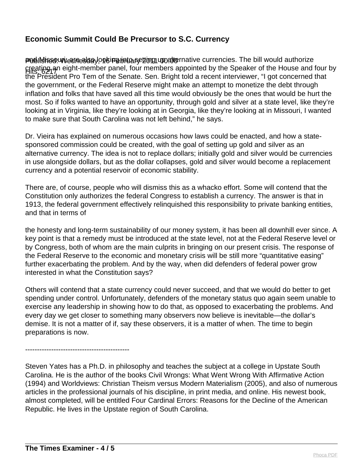Publil inso unicanes say on tinta setting up alternative currencies. The bill would authorize Hits: 6217 creating an eight-member panel, four members appointed by the Speaker of the House and four by the President Pro Tem of the Senate. Sen. Bright told a recent interviewer, "I got concerned that the government, or the Federal Reserve might make an attempt to monetize the debt through inflation and folks that have saved all this time would obviously be the ones that would be hurt the most. So if folks wanted to have an opportunity, through gold and silver at a state level, like they're looking at in Virginia, like they're looking at in Georgia, like they're looking at in Missouri, I wanted to make sure that South Carolina was not left behind," he says.

Dr. Vieira has explained on numerous occasions how laws could be enacted, and how a statesponsored commission could be created, with the goal of setting up gold and silver as an alternative currency. The idea is not to replace dollars; initially gold and silver would be currencies in use alongside dollars, but as the dollar collapses, gold and silver would become a replacement currency and a potential reservoir of economic stability.

There are, of course, people who will dismiss this as a whacko effort. Some will contend that the Constitution only authorizes the federal Congress to establish a currency. The answer is that in 1913, the federal government effectively relinquished this responsibility to private banking entities, and that in terms of

the honesty and long-term sustainability of our money system, it has been all downhill ever since. A key point is that a remedy must be introduced at the state level, not at the Federal Reserve level or by Congress, both of whom are the main culprits in bringing on our present crisis. The response of the Federal Reserve to the economic and monetary crisis will be still more "quantitative easing" further exacerbating the problem. And by the way, when did defenders of federal power grow interested in what the Constitution says?

Others will contend that a state currency could never succeed, and that we would do better to get spending under control. Unfortunately, defenders of the monetary status quo again seem unable to exercise any leadership in showing how to do that, as opposed to exacerbating the problems. And every day we get closer to something many observers now believe is inevitable—the dollar's demise. It is not a matter of if, say these observers, it is a matter of when. The time to begin preparations is now.

--------------------------------------------

Steven Yates has a Ph.D. in philosophy and teaches the subject at a college in Upstate South Carolina. He is the author of the books Civil Wrongs: What Went Wrong With Affirmative Action (1994) and Worldviews: Christian Theism versus Modern Materialism (2005), and also of numerous articles in the professional journals of his discipline, in print media, and online. His newest book, almost completed, will be entitled Four Cardinal Errors: Reasons for the Decline of the American Republic. He lives in the Upstate region of South Carolina.